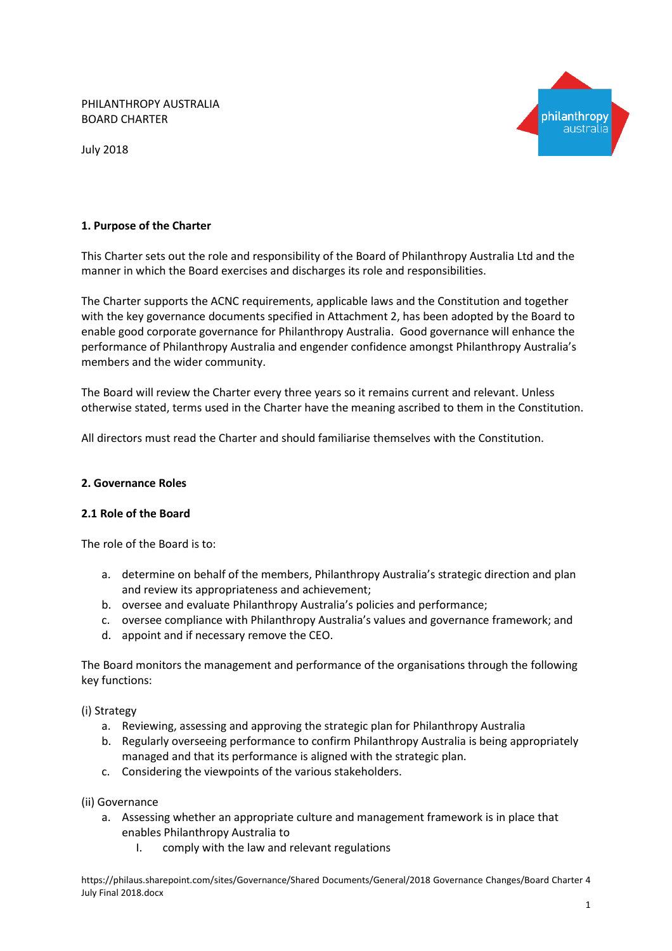PHILANTHROPY AUSTRALIA BOARD CHARTER



July 2018

### **1. Purpose of the Charter**

This Charter sets out the role and responsibility of the Board of Philanthropy Australia Ltd and the manner in which the Board exercises and discharges its role and responsibilities.

The Charter supports the ACNC requirements, applicable laws and the Constitution and together with the key governance documents specified in Attachment 2, has been adopted by the Board to enable good corporate governance for Philanthropy Australia. Good governance will enhance the performance of Philanthropy Australia and engender confidence amongst Philanthropy Australia's members and the wider community.

The Board will review the Charter every three years so it remains current and relevant. Unless otherwise stated, terms used in the Charter have the meaning ascribed to them in the Constitution.

All directors must read the Charter and should familiarise themselves with the Constitution.

#### **2. Governance Roles**

### **2.1 Role of the Board**

The role of the Board is to:

- a. determine on behalf of the members, Philanthropy Australia's strategic direction and plan and review its appropriateness and achievement;
- b. oversee and evaluate Philanthropy Australia's policies and performance;
- c. oversee compliance with Philanthropy Australia's values and governance framework; and
- d. appoint and if necessary remove the CEO.

The Board monitors the management and performance of the organisations through the following key functions:

(i) Strategy

- a. Reviewing, assessing and approving the strategic plan for Philanthropy Australia
- b. Regularly overseeing performance to confirm Philanthropy Australia is being appropriately managed and that its performance is aligned with the strategic plan.
- c. Considering the viewpoints of the various stakeholders.
- (ii) Governance
	- a. Assessing whether an appropriate culture and management framework is in place that enables Philanthropy Australia to
		- I. comply with the law and relevant regulations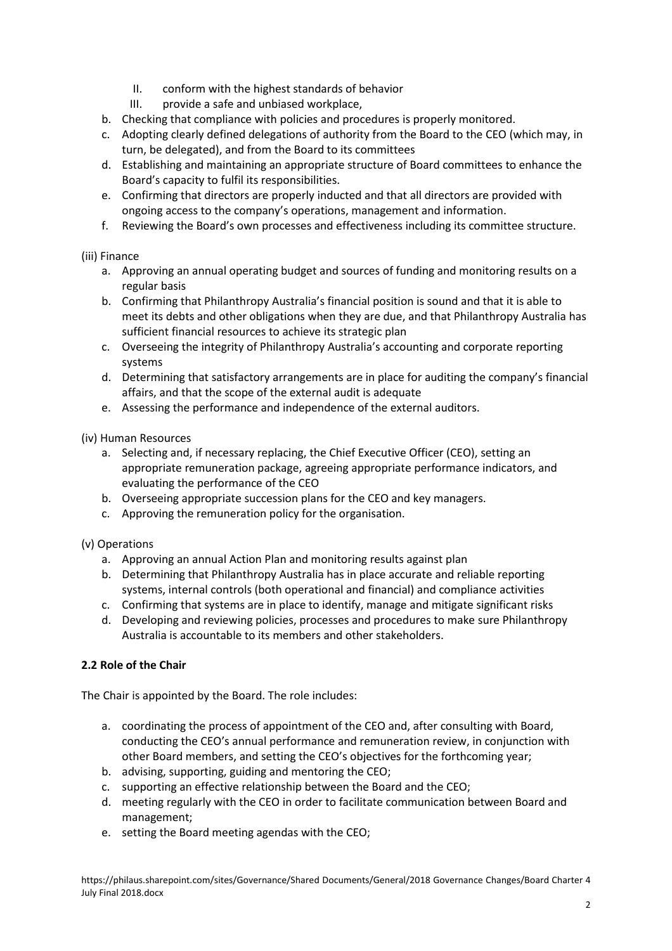- II. conform with the highest standards of behavior
- III. provide a safe and unbiased workplace,
- b. Checking that compliance with policies and procedures is properly monitored.
- c. Adopting clearly defined delegations of authority from the Board to the CEO (which may, in turn, be delegated), and from the Board to its committees
- d. Establishing and maintaining an appropriate structure of Board committees to enhance the Board's capacity to fulfil its responsibilities.
- e. Confirming that directors are properly inducted and that all directors are provided with ongoing access to the company's operations, management and information.
- f. Reviewing the Board's own processes and effectiveness including its committee structure.

# (iii) Finance

- a. Approving an annual operating budget and sources of funding and monitoring results on a regular basis
- b. Confirming that Philanthropy Australia's financial position is sound and that it is able to meet its debts and other obligations when they are due, and that Philanthropy Australia has sufficient financial resources to achieve its strategic plan
- c. Overseeing the integrity of Philanthropy Australia's accounting and corporate reporting systems
- d. Determining that satisfactory arrangements are in place for auditing the company's financial affairs, and that the scope of the external audit is adequate
- e. Assessing the performance and independence of the external auditors.

### (iv) Human Resources

- a. Selecting and, if necessary replacing, the Chief Executive Officer (CEO), setting an appropriate remuneration package, agreeing appropriate performance indicators, and evaluating the performance of the CEO
- b. Overseeing appropriate succession plans for the CEO and key managers.
- c. Approving the remuneration policy for the organisation.
- (v) Operations
	- a. Approving an annual Action Plan and monitoring results against plan
	- b. Determining that Philanthropy Australia has in place accurate and reliable reporting systems, internal controls (both operational and financial) and compliance activities
	- c. Confirming that systems are in place to identify, manage and mitigate significant risks
	- d. Developing and reviewing policies, processes and procedures to make sure Philanthropy Australia is accountable to its members and other stakeholders.

# **2.2 Role of the Chair**

The Chair is appointed by the Board. The role includes:

- a. coordinating the process of appointment of the CEO and, after consulting with Board, conducting the CEO's annual performance and remuneration review, in conjunction with other Board members, and setting the CEO's objectives for the forthcoming year;
- b. advising, supporting, guiding and mentoring the CEO;
- c. supporting an effective relationship between the Board and the CEO;
- d. meeting regularly with the CEO in order to facilitate communication between Board and management;
- e. setting the Board meeting agendas with the CEO;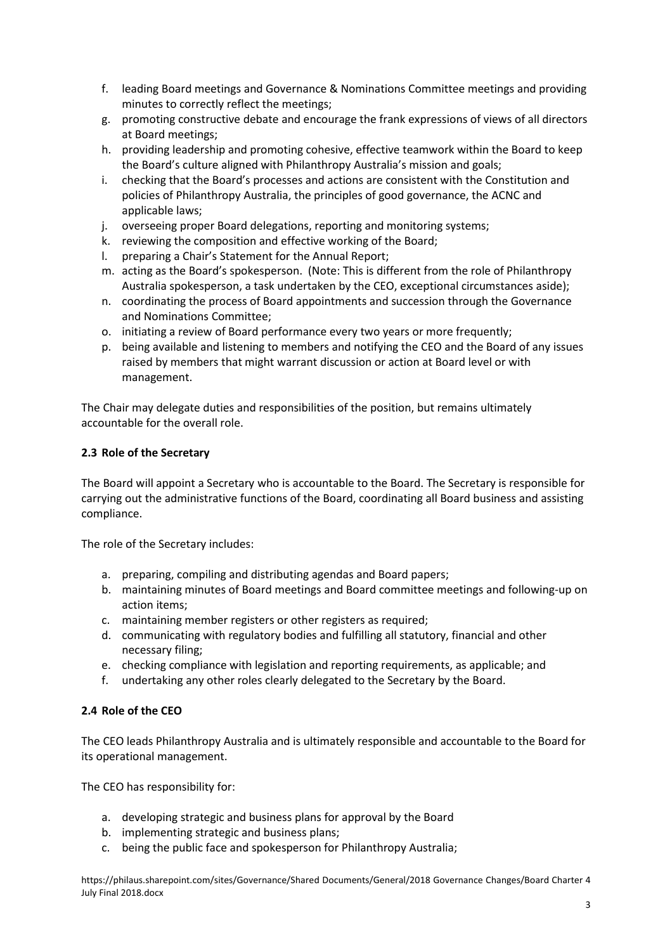- f. leading Board meetings and Governance & Nominations Committee meetings and providing minutes to correctly reflect the meetings;
- g. promoting constructive debate and encourage the frank expressions of views of all directors at Board meetings;
- h. providing leadership and promoting cohesive, effective teamwork within the Board to keep the Board's culture aligned with Philanthropy Australia's mission and goals;
- i. checking that the Board's processes and actions are consistent with the Constitution and policies of Philanthropy Australia, the principles of good governance, the ACNC and applicable laws;
- j. overseeing proper Board delegations, reporting and monitoring systems;
- k. reviewing the composition and effective working of the Board;
- l. preparing a Chair's Statement for the Annual Report;
- m. acting as the Board's spokesperson. (Note: This is different from the role of Philanthropy Australia spokesperson, a task undertaken by the CEO, exceptional circumstances aside);
- n. coordinating the process of Board appointments and succession through the Governance and Nominations Committee;
- o. initiating a review of Board performance every two years or more frequently;
- p. being available and listening to members and notifying the CEO and the Board of any issues raised by members that might warrant discussion or action at Board level or with management.

The Chair may delegate duties and responsibilities of the position, but remains ultimately accountable for the overall role.

#### **2.3 Role of the Secretary**

The Board will appoint a Secretary who is accountable to the Board. The Secretary is responsible for carrying out the administrative functions of the Board, coordinating all Board business and assisting compliance.

The role of the Secretary includes:

- a. preparing, compiling and distributing agendas and Board papers;
- b. maintaining minutes of Board meetings and Board committee meetings and following-up on action items;
- c. maintaining member registers or other registers as required;
- d. communicating with regulatory bodies and fulfilling all statutory, financial and other necessary filing;
- e. checking compliance with legislation and reporting requirements, as applicable; and
- f. undertaking any other roles clearly delegated to the Secretary by the Board.

# **2.4 Role of the CEO**

The CEO leads Philanthropy Australia and is ultimately responsible and accountable to the Board for its operational management.

The CEO has responsibility for:

- a. developing strategic and business plans for approval by the Board
- b. implementing strategic and business plans;
- c. being the public face and spokesperson for Philanthropy Australia;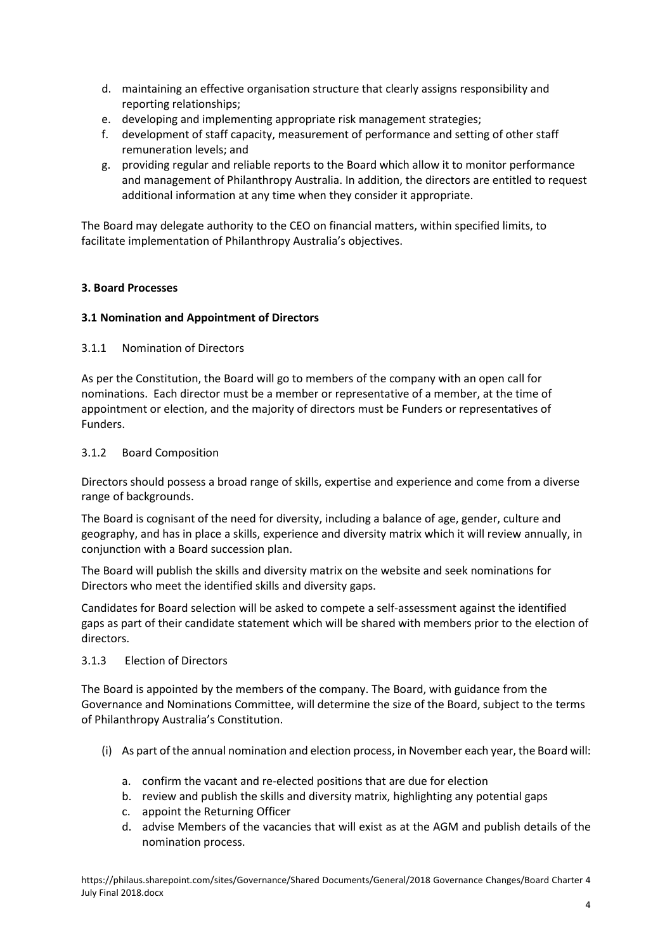- d. maintaining an effective organisation structure that clearly assigns responsibility and reporting relationships;
- e. developing and implementing appropriate risk management strategies;
- f. development of staff capacity, measurement of performance and setting of other staff remuneration levels; and
- g. providing regular and reliable reports to the Board which allow it to monitor performance and management of Philanthropy Australia. In addition, the directors are entitled to request additional information at any time when they consider it appropriate.

The Board may delegate authority to the CEO on financial matters, within specified limits, to facilitate implementation of Philanthropy Australia's objectives.

# **3. Board Processes**

# **3.1 Nomination and Appointment of Directors**

# 3.1.1 Nomination of Directors

As per the Constitution, the Board will go to members of the company with an open call for nominations. Each director must be a member or representative of a member, at the time of appointment or election, and the majority of directors must be Funders or representatives of Funders.

### 3.1.2 Board Composition

Directors should possess a broad range of skills, expertise and experience and come from a diverse range of backgrounds.

The Board is cognisant of the need for diversity, including a balance of age, gender, culture and geography, and has in place a skills, experience and diversity matrix which it will review annually, in conjunction with a Board succession plan.

The Board will publish the skills and diversity matrix on the website and seek nominations for Directors who meet the identified skills and diversity gaps.

Candidates for Board selection will be asked to compete a self-assessment against the identified gaps as part of their candidate statement which will be shared with members prior to the election of directors.

# 3.1.3 Election of Directors

The Board is appointed by the members of the company. The Board, with guidance from the Governance and Nominations Committee, will determine the size of the Board, subject to the terms of Philanthropy Australia's Constitution.

- (i) As part of the annual nomination and election process, in November each year, the Board will:
	- a. confirm the vacant and re-elected positions that are due for election
	- b. review and publish the skills and diversity matrix, highlighting any potential gaps
	- c. appoint the Returning Officer
	- d. advise Members of the vacancies that will exist as at the AGM and publish details of the nomination process.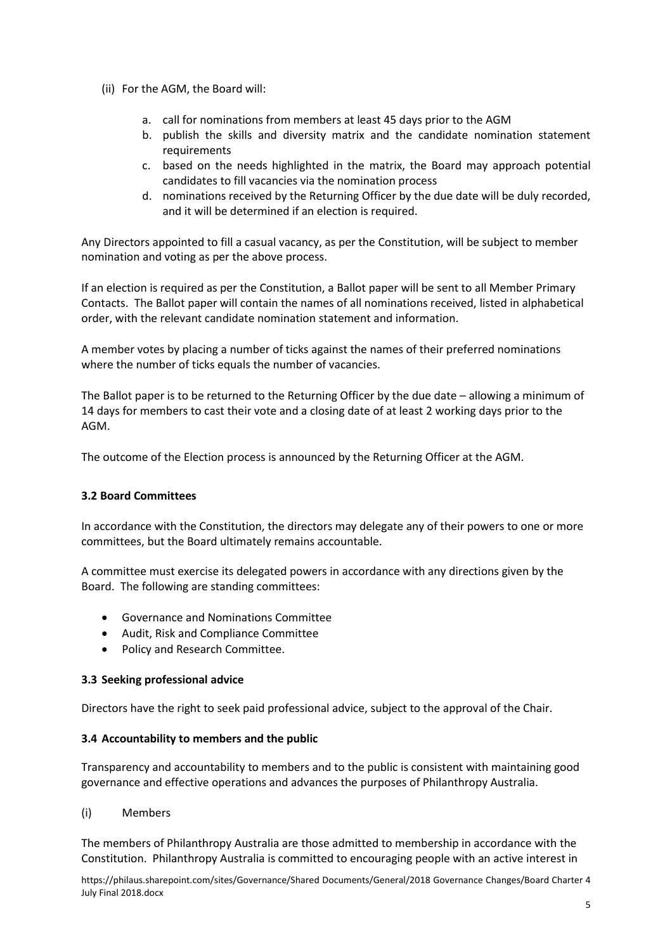- (ii) For the AGM, the Board will:
	- a. call for nominations from members at least 45 days prior to the AGM
	- b. publish the skills and diversity matrix and the candidate nomination statement requirements
	- c. based on the needs highlighted in the matrix, the Board may approach potential candidates to fill vacancies via the nomination process
	- d. nominations received by the Returning Officer by the due date will be duly recorded, and it will be determined if an election is required.

Any Directors appointed to fill a casual vacancy, as per the Constitution, will be subject to member nomination and voting as per the above process.

If an election is required as per the Constitution, a Ballot paper will be sent to all Member Primary Contacts. The Ballot paper will contain the names of all nominations received, listed in alphabetical order, with the relevant candidate nomination statement and information.

A member votes by placing a number of ticks against the names of their preferred nominations where the number of ticks equals the number of vacancies.

The Ballot paper is to be returned to the Returning Officer by the due date – allowing a minimum of 14 days for members to cast their vote and a closing date of at least 2 working days prior to the AGM.

The outcome of the Election process is announced by the Returning Officer at the AGM.

# **3.2 Board Committees**

In accordance with the Constitution, the directors may delegate any of their powers to one or more committees, but the Board ultimately remains accountable.

A committee must exercise its delegated powers in accordance with any directions given by the Board. The following are standing committees:

- Governance and Nominations Committee
- Audit, Risk and Compliance Committee
- Policy and Research Committee.

#### **3.3 Seeking professional advice**

Directors have the right to seek paid professional advice, subject to the approval of the Chair.

#### **3.4 Accountability to members and the public**

Transparency and accountability to members and to the public is consistent with maintaining good governance and effective operations and advances the purposes of Philanthropy Australia.

(i) Members

The members of Philanthropy Australia are those admitted to membership in accordance with the Constitution. Philanthropy Australia is committed to encouraging people with an active interest in

https://philaus.sharepoint.com/sites/Governance/Shared Documents/General/2018 Governance Changes/Board Charter 4 July Final 2018.docx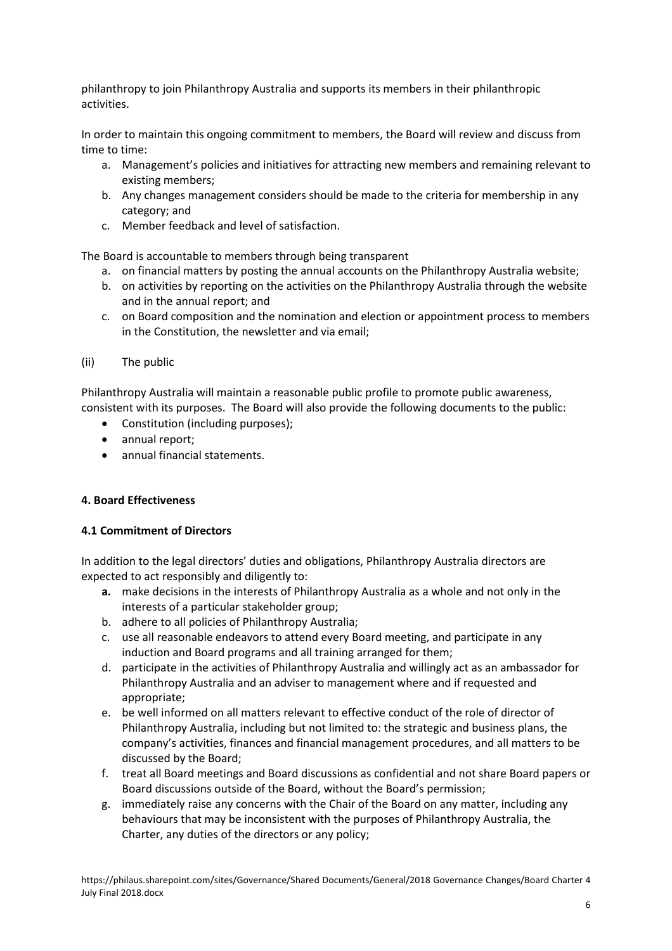philanthropy to join Philanthropy Australia and supports its members in their philanthropic activities.

In order to maintain this ongoing commitment to members, the Board will review and discuss from time to time:

- a. Management's policies and initiatives for attracting new members and remaining relevant to existing members;
- b. Any changes management considers should be made to the criteria for membership in any category; and
- c. Member feedback and level of satisfaction.

The Board is accountable to members through being transparent

- a. on financial matters by posting the annual accounts on the Philanthropy Australia website;
- b. on activities by reporting on the activities on the Philanthropy Australia through the website and in the annual report; and
- c. on Board composition and the nomination and election or appointment process to members in the Constitution, the newsletter and via email;
- (ii) The public

Philanthropy Australia will maintain a reasonable public profile to promote public awareness, consistent with its purposes. The Board will also provide the following documents to the public:

- Constitution (including purposes);
- annual report;
- annual financial statements.

#### **4. Board Effectiveness**

#### **4.1 Commitment of Directors**

In addition to the legal directors' duties and obligations, Philanthropy Australia directors are expected to act responsibly and diligently to:

- **a.** make decisions in the interests of Philanthropy Australia as a whole and not only in the interests of a particular stakeholder group;
- b. adhere to all policies of Philanthropy Australia;
- c. use all reasonable endeavors to attend every Board meeting, and participate in any induction and Board programs and all training arranged for them;
- d. participate in the activities of Philanthropy Australia and willingly act as an ambassador for Philanthropy Australia and an adviser to management where and if requested and appropriate;
- e. be well informed on all matters relevant to effective conduct of the role of director of Philanthropy Australia, including but not limited to: the strategic and business plans, the company's activities, finances and financial management procedures, and all matters to be discussed by the Board;
- f. treat all Board meetings and Board discussions as confidential and not share Board papers or Board discussions outside of the Board, without the Board's permission;
- g. immediately raise any concerns with the Chair of the Board on any matter, including any behaviours that may be inconsistent with the purposes of Philanthropy Australia, the Charter, any duties of the directors or any policy;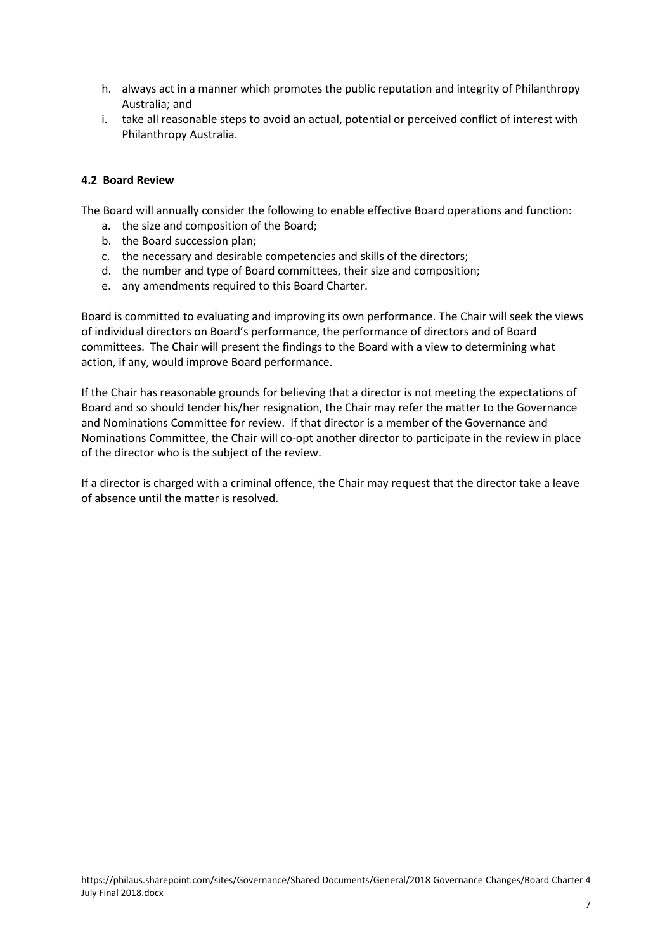- h. always act in a manner which promotes the public reputation and integrity of Philanthropy Australia; and
- i. take all reasonable steps to avoid an actual, potential or perceived conflict of interest with Philanthropy Australia.

### **4.2 Board Review**

The Board will annually consider the following to enable effective Board operations and function:

- a. the size and composition of the Board;
- b. the Board succession plan;
- c. the necessary and desirable competencies and skills of the directors;
- d. the number and type of Board committees, their size and composition;
- e. any amendments required to this Board Charter.

Board is committed to evaluating and improving its own performance. The Chair will seek the views of individual directors on Board's performance, the performance of directors and of Board committees. The Chair will present the findings to the Board with a view to determining what action, if any, would improve Board performance.

If the Chair has reasonable grounds for believing that a director is not meeting the expectations of Board and so should tender his/her resignation, the Chair may refer the matter to the Governance and Nominations Committee for review. If that director is a member of the Governance and Nominations Committee, the Chair will co-opt another director to participate in the review in place of the director who is the subject of the review.

If a director is charged with a criminal offence, the Chair may request that the director take a leave of absence until the matter is resolved.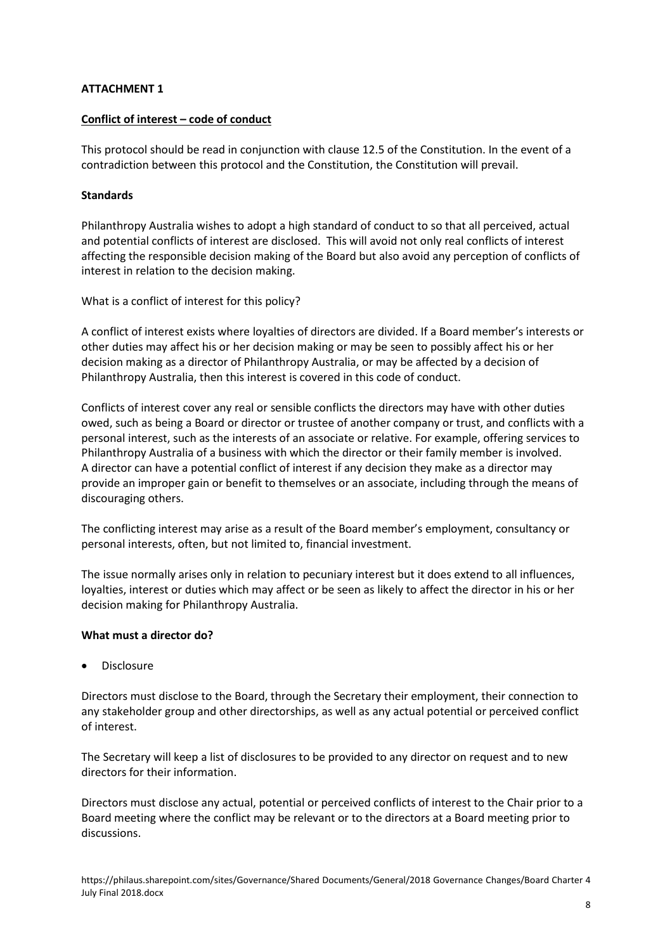### **ATTACHMENT 1**

#### **Conflict of interest – code of conduct**

This protocol should be read in conjunction with clause 12.5 of the Constitution. In the event of a contradiction between this protocol and the Constitution, the Constitution will prevail.

#### **Standards**

Philanthropy Australia wishes to adopt a high standard of conduct to so that all perceived, actual and potential conflicts of interest are disclosed. This will avoid not only real conflicts of interest affecting the responsible decision making of the Board but also avoid any perception of conflicts of interest in relation to the decision making.

What is a conflict of interest for this policy?

A conflict of interest exists where loyalties of directors are divided. If a Board member's interests or other duties may affect his or her decision making or may be seen to possibly affect his or her decision making as a director of Philanthropy Australia, or may be affected by a decision of Philanthropy Australia, then this interest is covered in this code of conduct.

Conflicts of interest cover any real or sensible conflicts the directors may have with other duties owed, such as being a Board or director or trustee of another company or trust, and conflicts with a personal interest, such as the interests of an associate or relative. For example, offering services to Philanthropy Australia of a business with which the director or their family member is involved. A director can have a potential conflict of interest if any decision they make as a director may provide an improper gain or benefit to themselves or an associate, including through the means of discouraging others.

The conflicting interest may arise as a result of the Board member's employment, consultancy or personal interests, often, but not limited to, financial investment.

The issue normally arises only in relation to pecuniary interest but it does extend to all influences, loyalties, interest or duties which may affect or be seen as likely to affect the director in his or her decision making for Philanthropy Australia.

#### **What must a director do?**

• Disclosure

Directors must disclose to the Board, through the Secretary their employment, their connection to any stakeholder group and other directorships, as well as any actual potential or perceived conflict of interest.

The Secretary will keep a list of disclosures to be provided to any director on request and to new directors for their information.

Directors must disclose any actual, potential or perceived conflicts of interest to the Chair prior to a Board meeting where the conflict may be relevant or to the directors at a Board meeting prior to discussions.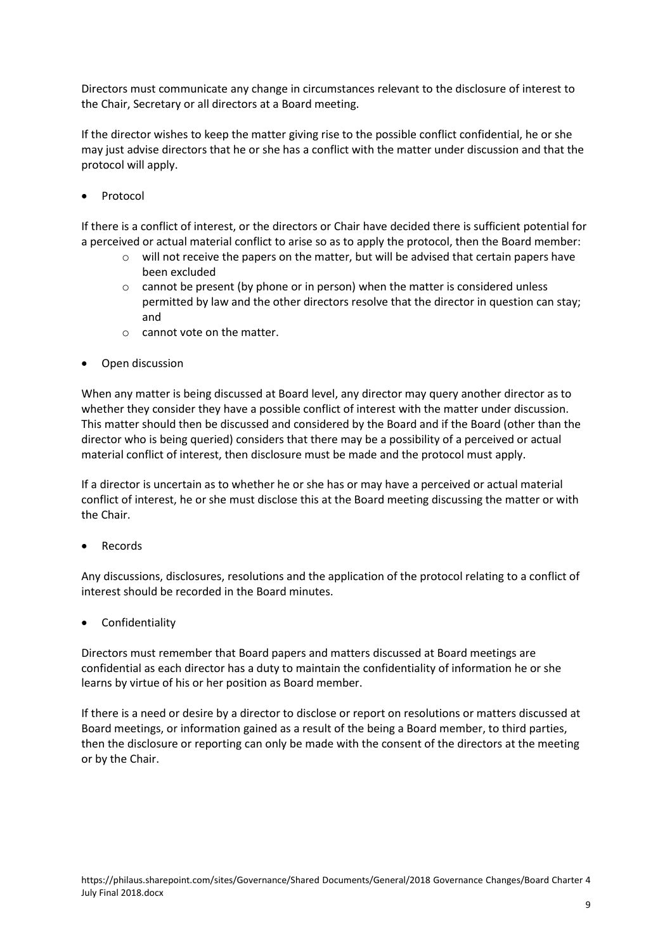Directors must communicate any change in circumstances relevant to the disclosure of interest to the Chair, Secretary or all directors at a Board meeting.

If the director wishes to keep the matter giving rise to the possible conflict confidential, he or she may just advise directors that he or she has a conflict with the matter under discussion and that the protocol will apply.

**Protocol** 

If there is a conflict of interest, or the directors or Chair have decided there is sufficient potential for a perceived or actual material conflict to arise so as to apply the protocol, then the Board member:

- o will not receive the papers on the matter, but will be advised that certain papers have been excluded
- $\circ$  cannot be present (by phone or in person) when the matter is considered unless permitted by law and the other directors resolve that the director in question can stay; and
- o cannot vote on the matter.
- Open discussion

When any matter is being discussed at Board level, any director may query another director as to whether they consider they have a possible conflict of interest with the matter under discussion. This matter should then be discussed and considered by the Board and if the Board (other than the director who is being queried) considers that there may be a possibility of a perceived or actual material conflict of interest, then disclosure must be made and the protocol must apply.

If a director is uncertain as to whether he or she has or may have a perceived or actual material conflict of interest, he or she must disclose this at the Board meeting discussing the matter or with the Chair.

**Records** 

Any discussions, disclosures, resolutions and the application of the protocol relating to a conflict of interest should be recorded in the Board minutes.

• Confidentiality

Directors must remember that Board papers and matters discussed at Board meetings are confidential as each director has a duty to maintain the confidentiality of information he or she learns by virtue of his or her position as Board member.

If there is a need or desire by a director to disclose or report on resolutions or matters discussed at Board meetings, or information gained as a result of the being a Board member, to third parties, then the disclosure or reporting can only be made with the consent of the directors at the meeting or by the Chair.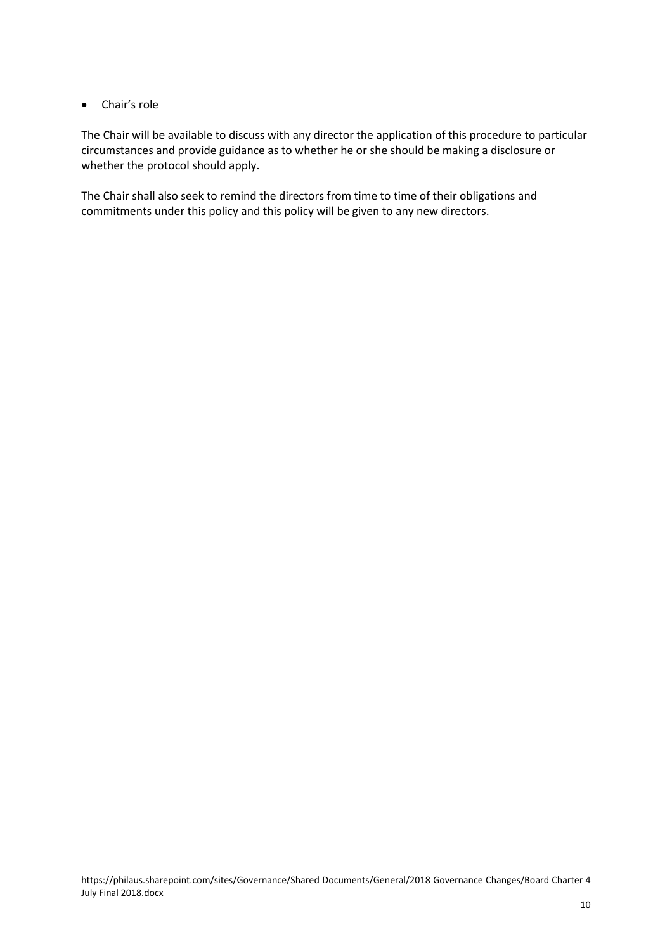# • Chair's role

The Chair will be available to discuss with any director the application of this procedure to particular circumstances and provide guidance as to whether he or she should be making a disclosure or whether the protocol should apply.

The Chair shall also seek to remind the directors from time to time of their obligations and commitments under this policy and this policy will be given to any new directors.